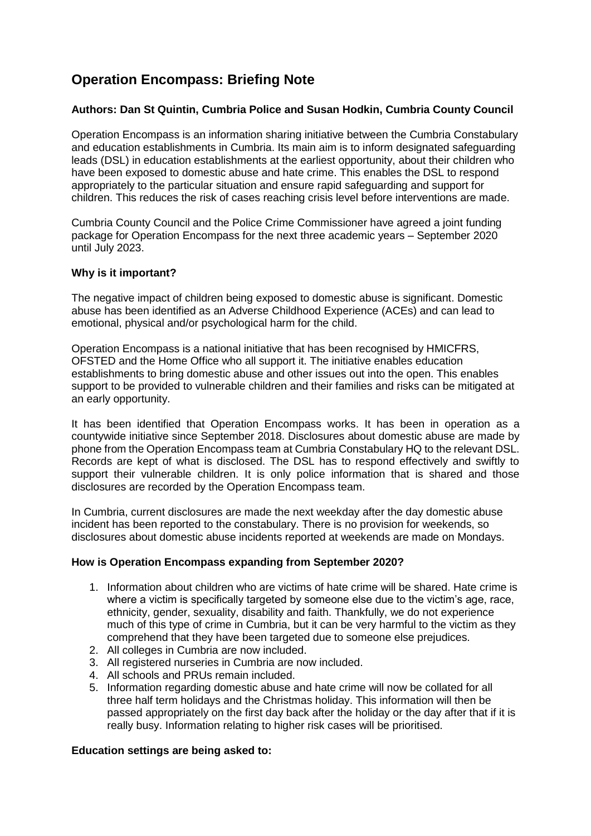# **Operation Encompass: Briefing Note**

## **Authors: Dan St Quintin, Cumbria Police and Susan Hodkin, Cumbria County Council**

Operation Encompass is an information sharing initiative between the Cumbria Constabulary and education establishments in Cumbria. Its main aim is to inform designated safeguarding leads (DSL) in education establishments at the earliest opportunity, about their children who have been exposed to domestic abuse and hate crime. This enables the DSL to respond appropriately to the particular situation and ensure rapid safeguarding and support for children. This reduces the risk of cases reaching crisis level before interventions are made.

Cumbria County Council and the Police Crime Commissioner have agreed a joint funding package for Operation Encompass for the next three academic years – September 2020 until July 2023.

### **Why is it important?**

The negative impact of children being exposed to domestic abuse is significant. Domestic abuse has been identified as an Adverse Childhood Experience (ACEs) and can lead to emotional, physical and/or psychological harm for the child.

Operation Encompass is a national initiative that has been recognised by HMICFRS, OFSTED and the Home Office who all support it. The initiative enables education establishments to bring domestic abuse and other issues out into the open. This enables support to be provided to vulnerable children and their families and risks can be mitigated at an early opportunity.

It has been identified that Operation Encompass works. It has been in operation as a countywide initiative since September 2018. Disclosures about domestic abuse are made by phone from the Operation Encompass team at Cumbria Constabulary HQ to the relevant DSL. Records are kept of what is disclosed. The DSL has to respond effectively and swiftly to support their vulnerable children. It is only police information that is shared and those disclosures are recorded by the Operation Encompass team.

In Cumbria, current disclosures are made the next weekday after the day domestic abuse incident has been reported to the constabulary. There is no provision for weekends, so disclosures about domestic abuse incidents reported at weekends are made on Mondays.

### **How is Operation Encompass expanding from September 2020?**

- 1. Information about children who are victims of hate crime will be shared. Hate crime is where a victim is specifically targeted by someone else due to the victim's age, race, ethnicity, gender, sexuality, disability and faith. Thankfully, we do not experience much of this type of crime in Cumbria, but it can be very harmful to the victim as they comprehend that they have been targeted due to someone else prejudices.
- 2. All colleges in Cumbria are now included.
- 3. All registered nurseries in Cumbria are now included.
- 4. All schools and PRUs remain included.
- 5. Information regarding domestic abuse and hate crime will now be collated for all three half term holidays and the Christmas holiday. This information will then be passed appropriately on the first day back after the holiday or the day after that if it is really busy. Information relating to higher risk cases will be prioritised.

#### **Education settings are being asked to:**